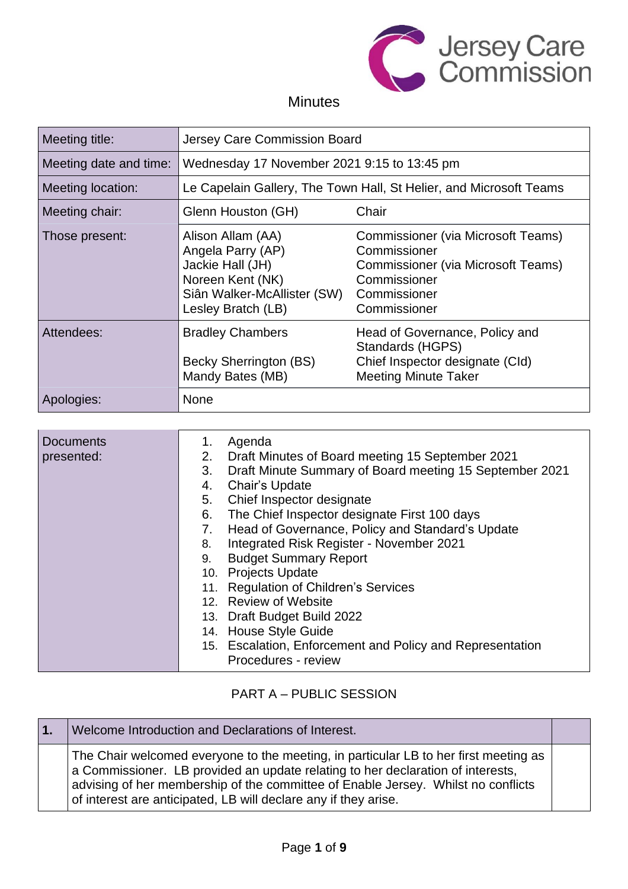

# **Minutes**

| Meeting title:                                | Jersey Care Commission Board                                                                                                        |                                                                                                                                          |
|-----------------------------------------------|-------------------------------------------------------------------------------------------------------------------------------------|------------------------------------------------------------------------------------------------------------------------------------------|
| Meeting date and time:                        | Wednesday 17 November 2021 9:15 to 13:45 pm                                                                                         |                                                                                                                                          |
| Meeting location:                             | Le Capelain Gallery, The Town Hall, St Helier, and Microsoft Teams                                                                  |                                                                                                                                          |
| Chair<br>Meeting chair:<br>Glenn Houston (GH) |                                                                                                                                     |                                                                                                                                          |
| Those present:                                | Alison Allam (AA)<br>Angela Parry (AP)<br>Jackie Hall (JH)<br>Noreen Kent (NK)<br>Siân Walker-McAllister (SW)<br>Lesley Bratch (LB) | Commissioner (via Microsoft Teams)<br>Commissioner<br>Commissioner (via Microsoft Teams)<br>Commissioner<br>Commissioner<br>Commissioner |
| Attendees:                                    | <b>Bradley Chambers</b><br>Becky Sherrington (BS)<br>Mandy Bates (MB)                                                               | Head of Governance, Policy and<br>Standards (HGPS)<br>Chief Inspector designate (CId)<br><b>Meeting Minute Taker</b>                     |
| Apologies:                                    | <b>None</b>                                                                                                                         |                                                                                                                                          |

| <b>Documents</b><br>presented: | Agenda<br>1.<br>2. Draft Minutes of Board meeting 15 September 2021<br>Draft Minute Summary of Board meeting 15 September 2021<br>3.<br>Chair's Update<br>4.<br>Chief Inspector designate<br>5.<br>The Chief Inspector designate First 100 days<br>6.<br>Head of Governance, Policy and Standard's Update<br>7.<br>Integrated Risk Register - November 2021<br>8.<br><b>Budget Summary Report</b><br>9.<br>10. Projects Update<br>11. Regulation of Children's Services<br>12. Review of Website<br>13. Draft Budget Build 2022<br>14. House Style Guide<br>15. Escalation, Enforcement and Policy and Representation |
|--------------------------------|-----------------------------------------------------------------------------------------------------------------------------------------------------------------------------------------------------------------------------------------------------------------------------------------------------------------------------------------------------------------------------------------------------------------------------------------------------------------------------------------------------------------------------------------------------------------------------------------------------------------------|
|                                | Procedures - review                                                                                                                                                                                                                                                                                                                                                                                                                                                                                                                                                                                                   |

# PART A – PUBLIC SESSION

| $\mathbf{1}$ . | Welcome Introduction and Declarations of Interest.                                                                                                                                                                                                                                                                              |  |
|----------------|---------------------------------------------------------------------------------------------------------------------------------------------------------------------------------------------------------------------------------------------------------------------------------------------------------------------------------|--|
|                | The Chair welcomed everyone to the meeting, in particular LB to her first meeting as<br>a Commissioner. LB provided an update relating to her declaration of interests,<br>advising of her membership of the committee of Enable Jersey. Whilst no conflicts<br>of interest are anticipated, LB will declare any if they arise. |  |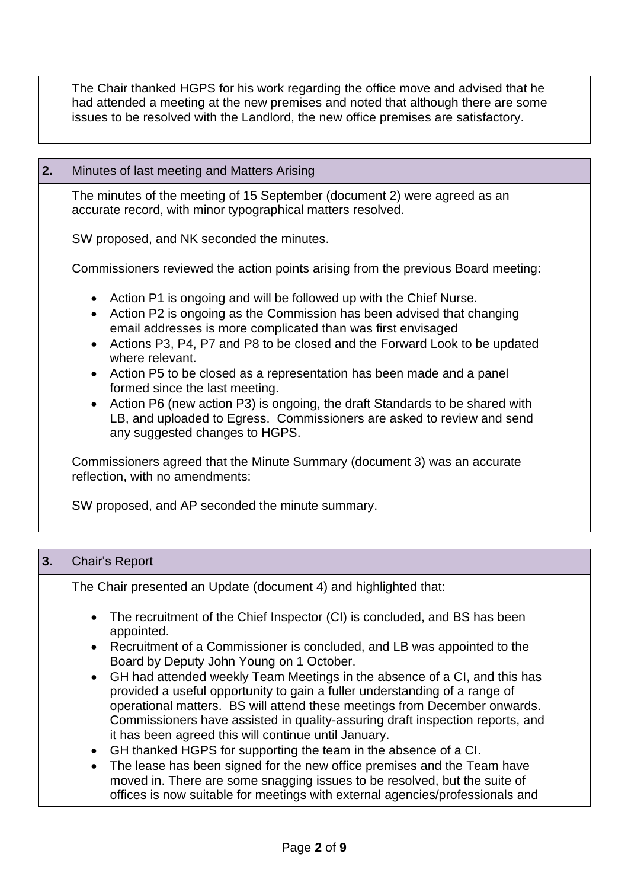|    | The Chair thanked HGPS for his work regarding the office move and advised that he<br>had attended a meeting at the new premises and noted that although there are some<br>issues to be resolved with the Landlord, the new office premises are satisfactory. |  |
|----|--------------------------------------------------------------------------------------------------------------------------------------------------------------------------------------------------------------------------------------------------------------|--|
| 2. | Minutes of last meeting and Matters Arising                                                                                                                                                                                                                  |  |
|    | The minutes of the meeting of 15 September (document 2) were agreed as an<br>accurate record, with minor typographical matters resolved.                                                                                                                     |  |
|    | SW proposed, and NK seconded the minutes.                                                                                                                                                                                                                    |  |

Commissioners reviewed the action points arising from the previous Board meeting:

- Action P1 is ongoing and will be followed up with the Chief Nurse.
- Action P2 is ongoing as the Commission has been advised that changing email addresses is more complicated than was first envisaged
- Actions P3, P4, P7 and P8 to be closed and the Forward Look to be updated where relevant.
- Action P5 to be closed as a representation has been made and a panel formed since the last meeting.
- Action P6 (new action P3) is ongoing, the draft Standards to be shared with LB, and uploaded to Egress. Commissioners are asked to review and send any suggested changes to HGPS.

Commissioners agreed that the Minute Summary (document 3) was an accurate reflection, with no amendments:

SW proposed, and AP seconded the minute summary.

| 3. | Chair's Report                                                                                                                                                                                                                                                                                                                                                                                                                                                                                                                                                                                        |  |
|----|-------------------------------------------------------------------------------------------------------------------------------------------------------------------------------------------------------------------------------------------------------------------------------------------------------------------------------------------------------------------------------------------------------------------------------------------------------------------------------------------------------------------------------------------------------------------------------------------------------|--|
|    | The Chair presented an Update (document 4) and highlighted that:                                                                                                                                                                                                                                                                                                                                                                                                                                                                                                                                      |  |
|    | • The recruitment of the Chief Inspector (CI) is concluded, and BS has been<br>appointed.<br>• Recruitment of a Commissioner is concluded, and LB was appointed to the<br>Board by Deputy John Young on 1 October.<br>• GH had attended weekly Team Meetings in the absence of a CI, and this has<br>provided a useful opportunity to gain a fuller understanding of a range of<br>operational matters. BS will attend these meetings from December onwards.<br>Commissioners have assisted in quality-assuring draft inspection reports, and<br>it has been agreed this will continue until January. |  |
|    | GH thanked HGPS for supporting the team in the absence of a CI.<br>$\bullet$<br>The lease has been signed for the new office premises and the Team have<br>$\bullet$<br>moved in. There are some snagging issues to be resolved, but the suite of<br>offices is now suitable for meetings with external agencies/professionals and                                                                                                                                                                                                                                                                    |  |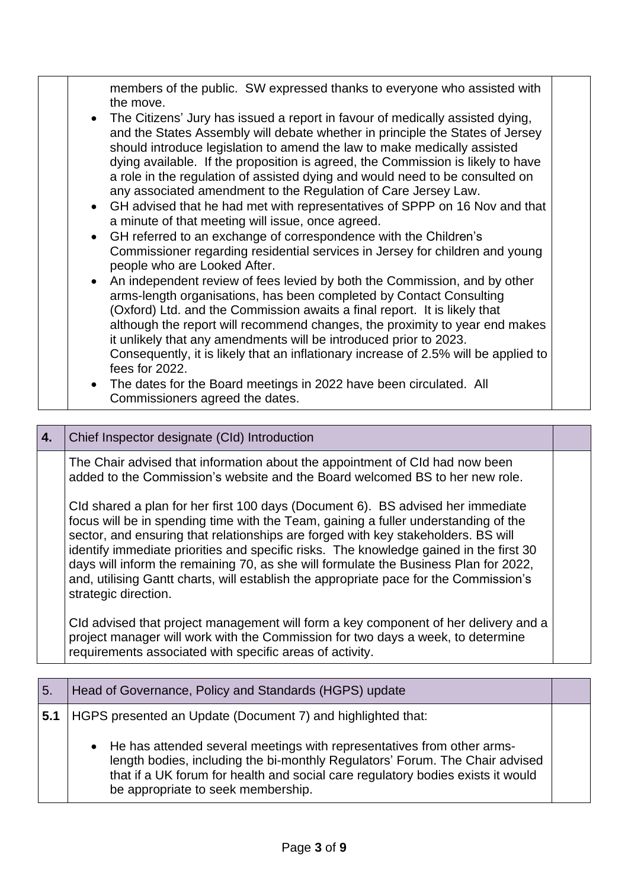| members of the public. SW expressed thanks to everyone who assisted with<br>the move.<br>The Citizens' Jury has issued a report in favour of medically assisted dying,<br>$\bullet$<br>and the States Assembly will debate whether in principle the States of Jersey<br>should introduce legislation to amend the law to make medically assisted<br>dying available. If the proposition is agreed, the Commission is likely to have<br>a role in the regulation of assisted dying and would need to be consulted on<br>any associated amendment to the Regulation of Care Jersey Law.<br>• GH advised that he had met with representatives of SPPP on 16 Nov and that<br>a minute of that meeting will issue, once agreed.<br>GH referred to an exchange of correspondence with the Children's<br>$\bullet$<br>Commissioner regarding residential services in Jersey for children and young<br>people who are Looked After.<br>An independent review of fees levied by both the Commission, and by other<br>$\bullet$<br>arms-length organisations, has been completed by Contact Consulting<br>(Oxford) Ltd. and the Commission awaits a final report. It is likely that<br>although the report will recommend changes, the proximity to year end makes<br>it unlikely that any amendments will be introduced prior to 2023.<br>Consequently, it is likely that an inflationary increase of 2.5% will be applied to<br>fees for 2022. |  |
|----------------------------------------------------------------------------------------------------------------------------------------------------------------------------------------------------------------------------------------------------------------------------------------------------------------------------------------------------------------------------------------------------------------------------------------------------------------------------------------------------------------------------------------------------------------------------------------------------------------------------------------------------------------------------------------------------------------------------------------------------------------------------------------------------------------------------------------------------------------------------------------------------------------------------------------------------------------------------------------------------------------------------------------------------------------------------------------------------------------------------------------------------------------------------------------------------------------------------------------------------------------------------------------------------------------------------------------------------------------------------------------------------------------------------------------|--|
| The dates for the Board meetings in 2022 have been circulated. All<br>$\bullet$                                                                                                                                                                                                                                                                                                                                                                                                                                                                                                                                                                                                                                                                                                                                                                                                                                                                                                                                                                                                                                                                                                                                                                                                                                                                                                                                                        |  |
| Commissioners agreed the dates.                                                                                                                                                                                                                                                                                                                                                                                                                                                                                                                                                                                                                                                                                                                                                                                                                                                                                                                                                                                                                                                                                                                                                                                                                                                                                                                                                                                                        |  |

| 4. | Chief Inspector designate (CId) Introduction                                                                                                                                                                                                                                                                                                                                                                                                                                                                                                                   |  |
|----|----------------------------------------------------------------------------------------------------------------------------------------------------------------------------------------------------------------------------------------------------------------------------------------------------------------------------------------------------------------------------------------------------------------------------------------------------------------------------------------------------------------------------------------------------------------|--|
|    | The Chair advised that information about the appointment of Cld had now been<br>added to the Commission's website and the Board welcomed BS to her new role.                                                                                                                                                                                                                                                                                                                                                                                                   |  |
|    | Cld shared a plan for her first 100 days (Document 6). BS advised her immediate<br>focus will be in spending time with the Team, gaining a fuller understanding of the<br>sector, and ensuring that relationships are forged with key stakeholders. BS will<br>identify immediate priorities and specific risks. The knowledge gained in the first 30<br>days will inform the remaining 70, as she will formulate the Business Plan for 2022,<br>and, utilising Gantt charts, will establish the appropriate pace for the Commission's<br>strategic direction. |  |
|    | Cld advised that project management will form a key component of her delivery and a<br>project manager will work with the Commission for two days a week, to determine<br>requirements associated with specific areas of activity.                                                                                                                                                                                                                                                                                                                             |  |

| 5.  | Head of Governance, Policy and Standards (HGPS) update                                                                                                                                                                                                                            |  |
|-----|-----------------------------------------------------------------------------------------------------------------------------------------------------------------------------------------------------------------------------------------------------------------------------------|--|
| 5.1 | HGPS presented an Update (Document 7) and highlighted that:                                                                                                                                                                                                                       |  |
|     | • He has attended several meetings with representatives from other arms-<br>length bodies, including the bi-monthly Regulators' Forum. The Chair advised<br>that if a UK forum for health and social care regulatory bodies exists it would<br>be appropriate to seek membership. |  |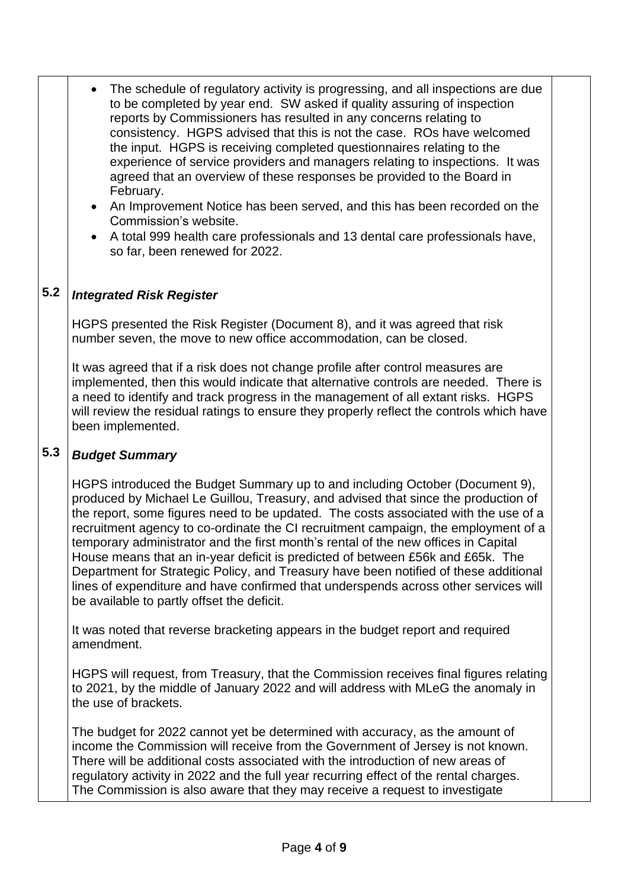- The schedule of regulatory activity is progressing, and all inspections are due to be completed by year end. SW asked if quality assuring of inspection reports by Commissioners has resulted in any concerns relating to consistency. HGPS advised that this is not the case. ROs have welcomed the input. HGPS is receiving completed questionnaires relating to the experience of service providers and managers relating to inspections. It was agreed that an overview of these responses be provided to the Board in February.
	- An Improvement Notice has been served, and this has been recorded on the Commission's website.
	- A total 999 health care professionals and 13 dental care professionals have, so far, been renewed for 2022.

### **5.2** *Integrated Risk Register*

HGPS presented the Risk Register (Document 8), and it was agreed that risk number seven, the move to new office accommodation, can be closed.

It was agreed that if a risk does not change profile after control measures are implemented, then this would indicate that alternative controls are needed. There is a need to identify and track progress in the management of all extant risks. HGPS will review the residual ratings to ensure they properly reflect the controls which have been implemented.

#### **5.3** *Budget Summary*

HGPS introduced the Budget Summary up to and including October (Document 9), produced by Michael Le Guillou, Treasury, and advised that since the production of the report, some figures need to be updated. The costs associated with the use of a recruitment agency to co-ordinate the CI recruitment campaign, the employment of a temporary administrator and the first month's rental of the new offices in Capital House means that an in-year deficit is predicted of between £56k and £65k. The Department for Strategic Policy, and Treasury have been notified of these additional lines of expenditure and have confirmed that underspends across other services will be available to partly offset the deficit.

It was noted that reverse bracketing appears in the budget report and required amendment.

HGPS will request, from Treasury, that the Commission receives final figures relating to 2021, by the middle of January 2022 and will address with MLeG the anomaly in the use of brackets.

The budget for 2022 cannot yet be determined with accuracy, as the amount of income the Commission will receive from the Government of Jersey is not known. There will be additional costs associated with the introduction of new areas of regulatory activity in 2022 and the full year recurring effect of the rental charges. The Commission is also aware that they may receive a request to investigate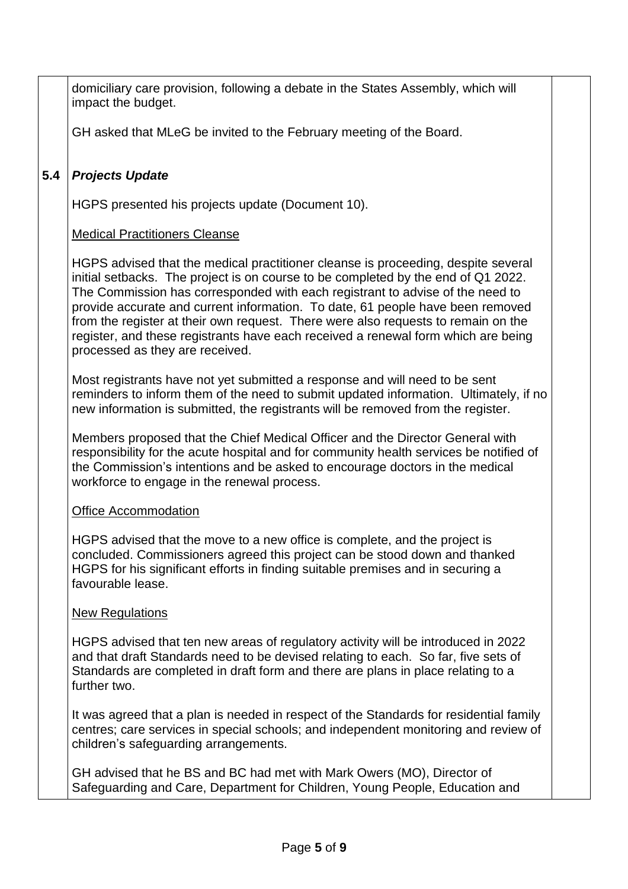domiciliary care provision, following a debate in the States Assembly, which will impact the budget.

GH asked that MLeG be invited to the February meeting of the Board.

### **5.4** *Projects Update*

HGPS presented his projects update (Document 10).

## Medical Practitioners Cleanse

HGPS advised that the medical practitioner cleanse is proceeding, despite several initial setbacks. The project is on course to be completed by the end of Q1 2022. The Commission has corresponded with each registrant to advise of the need to provide accurate and current information. To date, 61 people have been removed from the register at their own request. There were also requests to remain on the register, and these registrants have each received a renewal form which are being processed as they are received.

Most registrants have not yet submitted a response and will need to be sent reminders to inform them of the need to submit updated information. Ultimately, if no new information is submitted, the registrants will be removed from the register.

Members proposed that the Chief Medical Officer and the Director General with responsibility for the acute hospital and for community health services be notified of the Commission's intentions and be asked to encourage doctors in the medical workforce to engage in the renewal process.

### Office Accommodation

HGPS advised that the move to a new office is complete, and the project is concluded. Commissioners agreed this project can be stood down and thanked HGPS for his significant efforts in finding suitable premises and in securing a favourable lease.

### New Regulations

HGPS advised that ten new areas of regulatory activity will be introduced in 2022 and that draft Standards need to be devised relating to each. So far, five sets of Standards are completed in draft form and there are plans in place relating to a further two.

It was agreed that a plan is needed in respect of the Standards for residential family centres; care services in special schools; and independent monitoring and review of children's safeguarding arrangements.

GH advised that he BS and BC had met with Mark Owers (MO), Director of Safeguarding and Care, Department for Children, Young People, Education and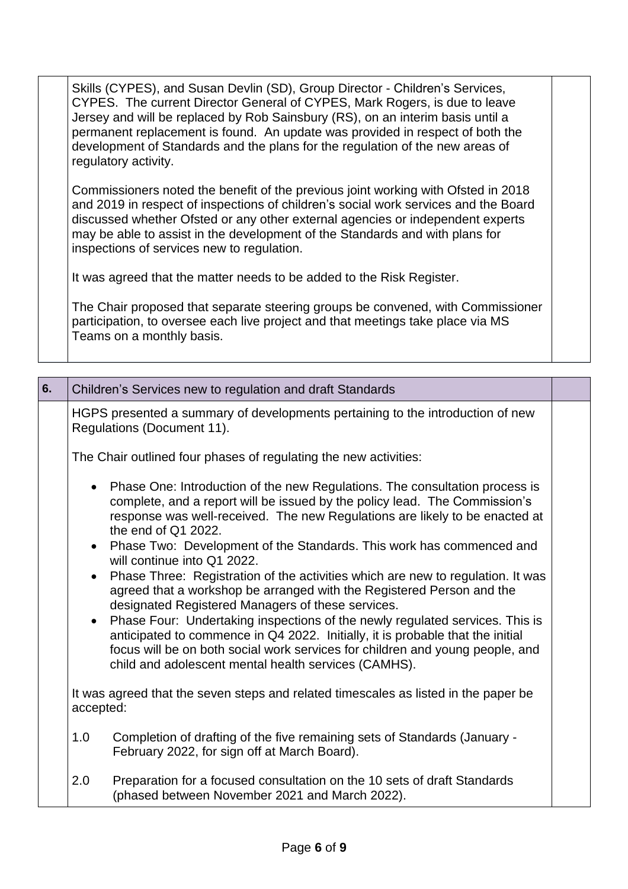Skills (CYPES), and Susan Devlin (SD), Group Director - Children's Services, CYPES. The current Director General of CYPES, Mark Rogers, is due to leave Jersey and will be replaced by Rob Sainsbury (RS), on an interim basis until a permanent replacement is found. An update was provided in respect of both the development of Standards and the plans for the regulation of the new areas of regulatory activity.

Commissioners noted the benefit of the previous joint working with Ofsted in 2018 and 2019 in respect of inspections of children's social work services and the Board discussed whether Ofsted or any other external agencies or independent experts may be able to assist in the development of the Standards and with plans for inspections of services new to regulation.

It was agreed that the matter needs to be added to the Risk Register.

The Chair proposed that separate steering groups be convened, with Commissioner participation, to oversee each live project and that meetings take place via MS Teams on a monthly basis.

| 6. | Children's Services new to regulation and draft Standards                                                                                                                                                                                                                                                                                                                                                                                                                                                                                                                                                                                                                                                                                                                                                                                                                                                         |  |
|----|-------------------------------------------------------------------------------------------------------------------------------------------------------------------------------------------------------------------------------------------------------------------------------------------------------------------------------------------------------------------------------------------------------------------------------------------------------------------------------------------------------------------------------------------------------------------------------------------------------------------------------------------------------------------------------------------------------------------------------------------------------------------------------------------------------------------------------------------------------------------------------------------------------------------|--|
|    | HGPS presented a summary of developments pertaining to the introduction of new<br>Regulations (Document 11).                                                                                                                                                                                                                                                                                                                                                                                                                                                                                                                                                                                                                                                                                                                                                                                                      |  |
|    | The Chair outlined four phases of regulating the new activities:                                                                                                                                                                                                                                                                                                                                                                                                                                                                                                                                                                                                                                                                                                                                                                                                                                                  |  |
|    | • Phase One: Introduction of the new Regulations. The consultation process is<br>complete, and a report will be issued by the policy lead. The Commission's<br>response was well-received. The new Regulations are likely to be enacted at<br>the end of Q1 2022.<br>Phase Two: Development of the Standards. This work has commenced and<br>$\bullet$<br>will continue into Q1 2022.<br>Phase Three: Registration of the activities which are new to regulation. It was<br>agreed that a workshop be arranged with the Registered Person and the<br>designated Registered Managers of these services.<br>Phase Four: Undertaking inspections of the newly regulated services. This is<br>anticipated to commence in Q4 2022. Initially, it is probable that the initial<br>focus will be on both social work services for children and young people, and<br>child and adolescent mental health services (CAMHS). |  |
|    | It was agreed that the seven steps and related timescales as listed in the paper be                                                                                                                                                                                                                                                                                                                                                                                                                                                                                                                                                                                                                                                                                                                                                                                                                               |  |
|    | accepted:                                                                                                                                                                                                                                                                                                                                                                                                                                                                                                                                                                                                                                                                                                                                                                                                                                                                                                         |  |
|    | 1.0<br>Completion of drafting of the five remaining sets of Standards (January -<br>February 2022, for sign off at March Board).                                                                                                                                                                                                                                                                                                                                                                                                                                                                                                                                                                                                                                                                                                                                                                                  |  |
|    | 2.0<br>Preparation for a focused consultation on the 10 sets of draft Standards<br>(phased between November 2021 and March 2022).                                                                                                                                                                                                                                                                                                                                                                                                                                                                                                                                                                                                                                                                                                                                                                                 |  |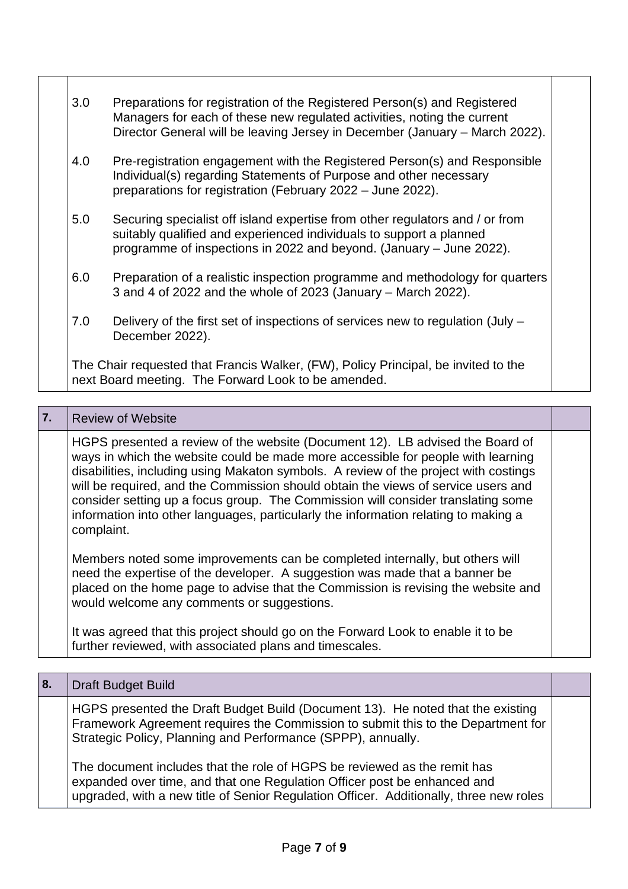| 3.0 | Preparations for registration of the Registered Person(s) and Registered<br>Managers for each of these new regulated activities, noting the current<br>Director General will be leaving Jersey in December (January - March 2022). |
|-----|------------------------------------------------------------------------------------------------------------------------------------------------------------------------------------------------------------------------------------|
| 4.0 | Pre-registration engagement with the Registered Person(s) and Responsible<br>Individual(s) regarding Statements of Purpose and other necessary<br>preparations for registration (February 2022 - June 2022).                       |
| 5.0 | Securing specialist off island expertise from other regulators and / or from<br>suitably qualified and experienced individuals to support a planned<br>programme of inspections in 2022 and beyond. (January – June 2022).         |
| 6.0 | Preparation of a realistic inspection programme and methodology for quarters<br>3 and 4 of 2022 and the whole of 2023 (January - March 2022).                                                                                      |
| 7.0 | Delivery of the first set of inspections of services new to regulation (July –<br>December 2022).                                                                                                                                  |
|     | The Chair requested that Francis Walker, (FW), Policy Principal, be invited to the<br>next Board meeting. The Forward Look to be amended.                                                                                          |

## **7.** Review of Website

HGPS presented a review of the website (Document 12). LB advised the Board of ways in which the website could be made more accessible for people with learning disabilities, including using Makaton symbols. A review of the project with costings will be required, and the Commission should obtain the views of service users and consider setting up a focus group. The Commission will consider translating some information into other languages, particularly the information relating to making a complaint.

Members noted some improvements can be completed internally, but others will need the expertise of the developer. A suggestion was made that a banner be placed on the home page to advise that the Commission is revising the website and would welcome any comments or suggestions.

It was agreed that this project should go on the Forward Look to enable it to be further reviewed, with associated plans and timescales.

| 8. | Draft Budget Build                                                                                                                                                                                                                             |  |
|----|------------------------------------------------------------------------------------------------------------------------------------------------------------------------------------------------------------------------------------------------|--|
|    | HGPS presented the Draft Budget Build (Document 13). He noted that the existing<br>Framework Agreement requires the Commission to submit this to the Department for<br>Strategic Policy, Planning and Performance (SPPP), annually.            |  |
|    | The document includes that the role of HGPS be reviewed as the remit has<br>expanded over time, and that one Regulation Officer post be enhanced and<br>upgraded, with a new title of Senior Regulation Officer. Additionally, three new roles |  |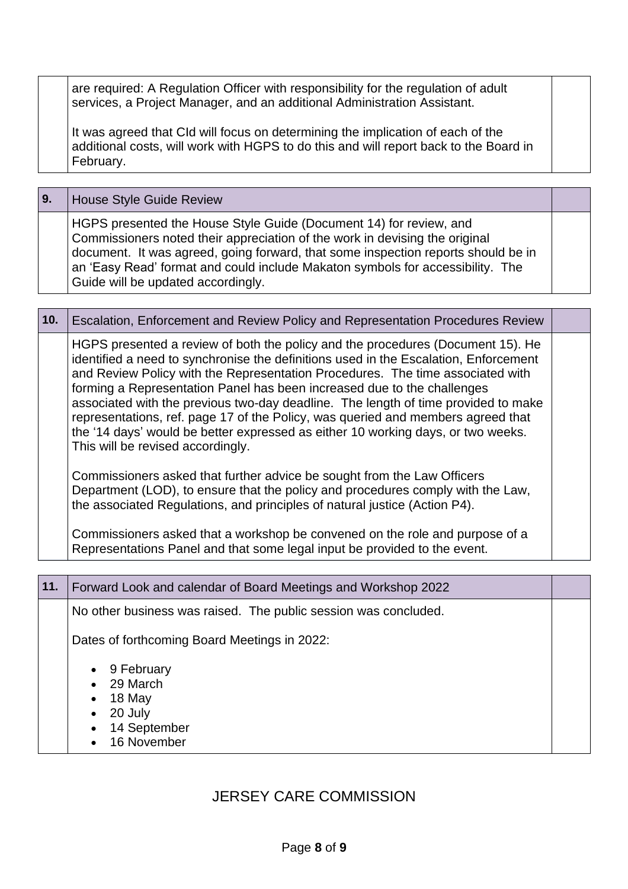are required: A Regulation Officer with responsibility for the regulation of adult services, a Project Manager, and an additional Administration Assistant.

It was agreed that CId will focus on determining the implication of each of the additional costs, will work with HGPS to do this and will report back to the Board in February.

| <b>9.</b> | House Style Guide Review                                                                                                                                                                                                                                                                                                                                       |  |
|-----------|----------------------------------------------------------------------------------------------------------------------------------------------------------------------------------------------------------------------------------------------------------------------------------------------------------------------------------------------------------------|--|
|           | HGPS presented the House Style Guide (Document 14) for review, and<br>Commissioners noted their appreciation of the work in devising the original<br>document. It was agreed, going forward, that some inspection reports should be in<br>an 'Easy Read' format and could include Makaton symbols for accessibility. The<br>Guide will be updated accordingly. |  |

|  | 10. | Escalation, Enforcement and Review Policy and Representation Procedures Review                                                                                                                                                                                                                                                                                                                                                                                                                                                                                                                                                          |  |
|--|-----|-----------------------------------------------------------------------------------------------------------------------------------------------------------------------------------------------------------------------------------------------------------------------------------------------------------------------------------------------------------------------------------------------------------------------------------------------------------------------------------------------------------------------------------------------------------------------------------------------------------------------------------------|--|
|  |     | HGPS presented a review of both the policy and the procedures (Document 15). He<br>identified a need to synchronise the definitions used in the Escalation, Enforcement<br>and Review Policy with the Representation Procedures. The time associated with<br>forming a Representation Panel has been increased due to the challenges<br>associated with the previous two-day deadline. The length of time provided to make<br>representations, ref. page 17 of the Policy, was queried and members agreed that<br>the '14 days' would be better expressed as either 10 working days, or two weeks.<br>This will be revised accordingly. |  |
|  |     | Commissioners asked that further advice be sought from the Law Officers<br>Department (LOD), to ensure that the policy and procedures comply with the Law,<br>the associated Regulations, and principles of natural justice (Action P4).                                                                                                                                                                                                                                                                                                                                                                                                |  |
|  |     | Commissioners asked that a workshop be convened on the role and purpose of a<br>Representations Panel and that some legal input be provided to the event.                                                                                                                                                                                                                                                                                                                                                                                                                                                                               |  |

| 11. | Forward Look and calendar of Board Meetings and Workshop 2022              |  |
|-----|----------------------------------------------------------------------------|--|
|     | No other business was raised. The public session was concluded.            |  |
|     | Dates of forthcoming Board Meetings in 2022:                               |  |
|     | 9 February<br>29 March<br>18 May<br>20 July<br>14 September<br>16 November |  |

# JERSEY CARE COMMISSION